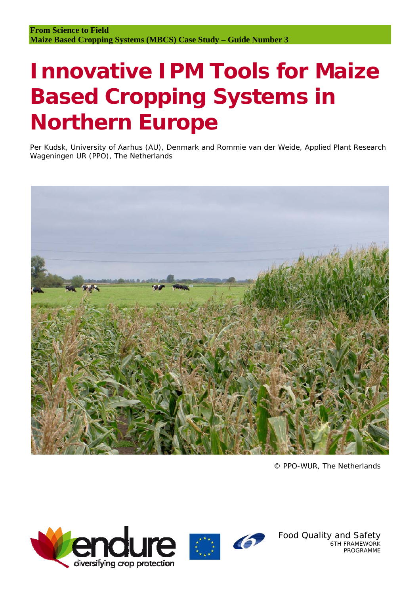# **Innovative IPM Tools for Maize Based Cropping Systems in Northern Europe**

Per Kudsk, University of Aarhus (AU), Denmark and Rommie van der Weide, Applied Plant Research Wageningen UR (PPO), The Netherlands



© PPO-WUR, The Netherlands





Food Quality and Safety 6TH FRAMEWORK PROGRAMME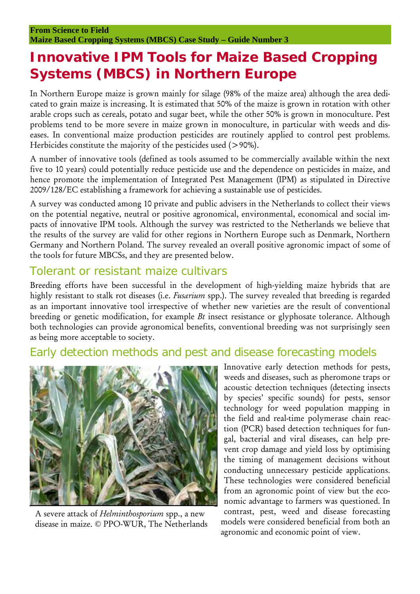## **Innovative IPM Tools for Maize Based Cropping Systems (MBCS) in Northern Europe**

In Northern Europe maize is grown mainly for silage (98% of the maize area) although the area dedicated to grain maize is increasing. It is estimated that 50% of the maize is grown in rotation with other arable crops such as cereals, potato and sugar beet, while the other 50% is grown in monoculture. Pest problems tend to be more severe in maize grown in monoculture, in particular with weeds and diseases. In conventional maize production pesticides are routinely applied to control pest problems. Herbicides constitute the majority of the pesticides used (>90%).

A number of innovative tools (defined as tools assumed to be commercially available within the next five to 10 years) could potentially reduce pesticide use and the dependence on pesticides in maize, and hence promote the implementation of Integrated Pest Management (IPM) as stipulated in Directive 2009/128/EC establishing a framework for achieving a sustainable use of pesticides.

A survey was conducted among 10 private and public advisers in the Netherlands to collect their views on the potential negative, neutral or positive agronomical, environmental, economical and social impacts of innovative IPM tools. Although the survey was restricted to the Netherlands we believe that the results of the survey are valid for other regions in Northern Europe such as Denmark, Northern Germany and Northern Poland. The survey revealed an overall positive agronomic impact of some of the tools for future MBCSs, and they are presented below.

#### Tolerant or resistant maize cultivars

Breeding efforts have been successful in the development of high-yielding maize hybrids that are highly resistant to stalk rot diseases (i.e. *Fusarium* spp.). The survey revealed that breeding is regarded as an important innovative tool irrespective of whether new varieties are the result of conventional breeding or genetic modification, for example *Bt* insect resistance or glyphosate tolerance. Although both technologies can provide agronomical benefits, conventional breeding was not surprisingly seen as being more acceptable to society.

#### Early detection methods and pest and disease forecasting models



A severe attack of *Helminthosporium* spp., a new disease in maize. © PPO-WUR, The Netherlands

Innovative early detection methods for pests, weeds and diseases, such as pheromone traps or acoustic detection techniques (detecting insects by species' specific sounds) for pests, sensor technology for weed population mapping in the field and real-time polymerase chain reaction (PCR) based detection techniques for fungal, bacterial and viral diseases, can help prevent crop damage and yield loss by optimising the timing of management decisions without conducting unnecessary pesticide applications. These technologies were considered beneficial from an agronomic point of view but the economic advantage to farmers was questioned. In contrast, pest, weed and disease forecasting models were considered beneficial from both an agronomic and economic point of view.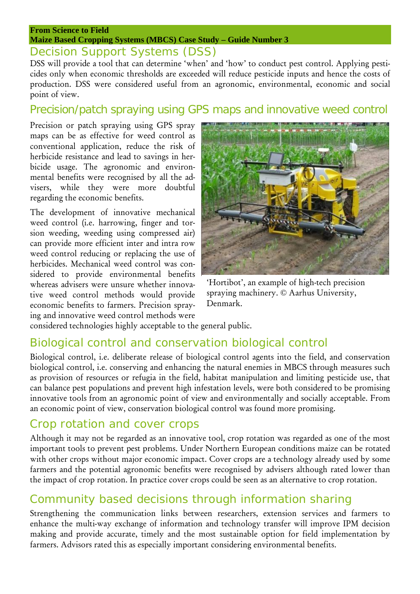#### **From Science to Field Maize Based Cropping Systems (MBCS) Case Study – Guide Number 3**

### Decision Support Systems (DSS)

DSS will provide a tool that can determine 'when' and 'how' to conduct pest control. Applying pesticides only when economic thresholds are exceeded will reduce pesticide inputs and hence the costs of production. DSS were considered useful from an agronomic, environmental, economic and social point of view.

### Precision/patch spraying using GPS maps and innovative weed control

Precision or patch spraying using GPS spray maps can be as effective for weed control as conventional application, reduce the risk of herbicide resistance and lead to savings in herbicide usage. The agronomic and environmental benefits were recognised by all the advisers, while they were more doubtful regarding the economic benefits.

The development of innovative mechanical weed control (i.e. harrowing, finger and torsion weeding, weeding using compressed air) can provide more efficient inter and intra row weed control reducing or replacing the use of herbicides. Mechanical weed control was considered to provide environmental benefits whereas advisers were unsure whether innovative weed control methods would provide economic benefits to farmers. Precision spraying and innovative weed control methods were



'Hortibot', an example of high-tech precision spraying machinery. © Aarhus University, Denmark.

considered technologies highly acceptable to the general public.

## Biological control and conservation biological control

Biological control, i.e. deliberate release of biological control agents into the field, and conservation biological control, i.e. conserving and enhancing the natural enemies in MBCS through measures such as provision of resources or refugia in the field, habitat manipulation and limiting pesticide use, that can balance pest populations and prevent high infestation levels, were both considered to be promising innovative tools from an agronomic point of view and environmentally and socially acceptable. From an economic point of view, conservation biological control was found more promising.

## Crop rotation and cover crops

Although it may not be regarded as an innovative tool, crop rotation was regarded as one of the most important tools to prevent pest problems. Under Northern European conditions maize can be rotated with other crops without major economic impact. Cover crops are a technology already used by some farmers and the potential agronomic benefits were recognised by advisers although rated lower than the impact of crop rotation. In practice cover crops could be seen as an alternative to crop rotation.

## Community based decisions through information sharing

Strengthening the communication links between researchers, extension services and farmers to enhance the multi-way exchange of information and technology transfer will improve IPM decision making and provide accurate, timely and the most sustainable option for field implementation by farmers. Advisors rated this as especially important considering environmental benefits.